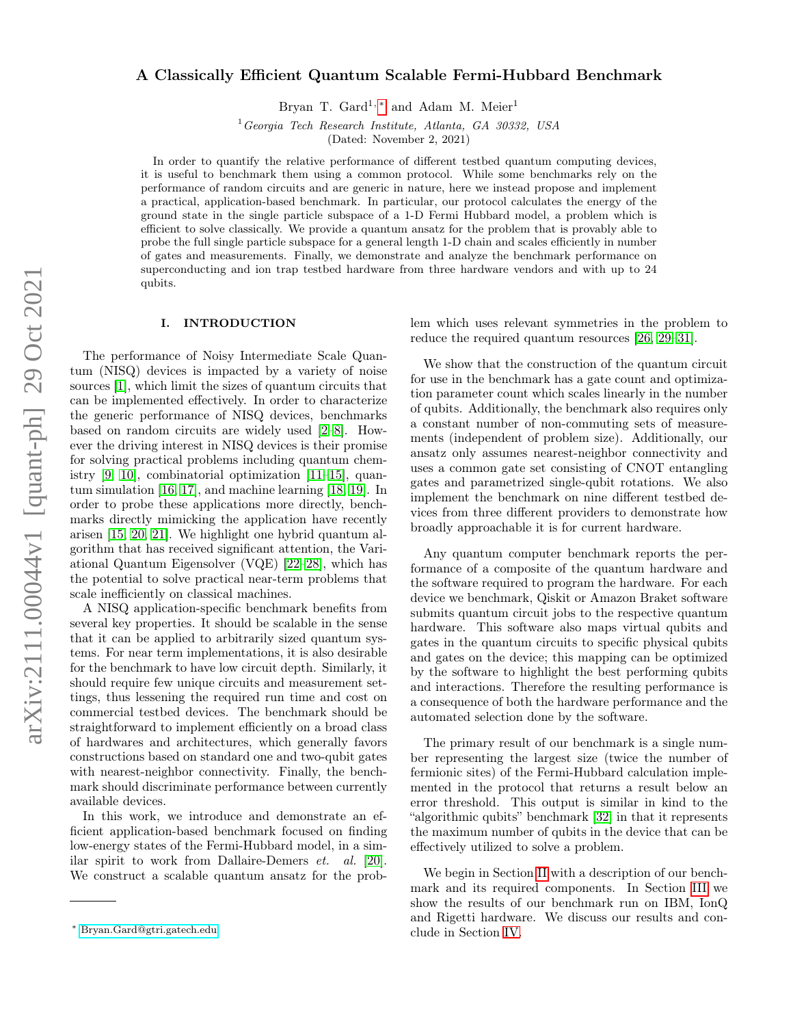# arXiv:2111.00044v1 [quant-ph] 29 Oct 2021 arXiv:2111.00044v1 [quant-ph] 29 Oct 2021

# A Classically Efficient Quantum Scalable Fermi-Hubbard Benchmark

Bryan T. Gard<sup>1,\*</sup> and Adam M. Meier<sup>1</sup>

 $1 Georqia$  Tech Research Institute, Atlanta, GA 30332, USA

(Dated: November 2, 2021)

In order to quantify the relative performance of different testbed quantum computing devices, it is useful to benchmark them using a common protocol. While some benchmarks rely on the performance of random circuits and are generic in nature, here we instead propose and implement a practical, application-based benchmark. In particular, our protocol calculates the energy of the ground state in the single particle subspace of a 1-D Fermi Hubbard model, a problem which is efficient to solve classically. We provide a quantum ansatz for the problem that is provably able to probe the full single particle subspace for a general length 1-D chain and scales efficiently in number of gates and measurements. Finally, we demonstrate and analyze the benchmark performance on superconducting and ion trap testbed hardware from three hardware vendors and with up to 24 qubits.

## I. INTRODUCTION

The performance of Noisy Intermediate Scale Quantum (NISQ) devices is impacted by a variety of noise sources [\[1\]](#page-5-0), which limit the sizes of quantum circuits that can be implemented effectively. In order to characterize the generic performance of NISQ devices, benchmarks based on random circuits are widely used [\[2–](#page-5-1)[8\]](#page-5-2). However the driving interest in NISQ devices is their promise for solving practical problems including quantum chemistry [\[9,](#page-5-3) [10\]](#page-5-4), combinatorial optimization [\[11–](#page-6-0)[15\]](#page-6-1), quantum simulation [\[16,](#page-6-2) [17\]](#page-6-3), and machine learning [\[18,](#page-6-4) [19\]](#page-6-5). In order to probe these applications more directly, benchmarks directly mimicking the application have recently arisen [\[15,](#page-6-1) [20,](#page-6-6) [21\]](#page-6-7). We highlight one hybrid quantum algorithm that has received significant attention, the Variational Quantum Eigensolver (VQE) [\[22–](#page-6-8)[28\]](#page-7-0), which has the potential to solve practical near-term problems that scale inefficiently on classical machines.

A NISQ application-specific benchmark benefits from several key properties. It should be scalable in the sense that it can be applied to arbitrarily sized quantum systems. For near term implementations, it is also desirable for the benchmark to have low circuit depth. Similarly, it should require few unique circuits and measurement settings, thus lessening the required run time and cost on commercial testbed devices. The benchmark should be straightforward to implement efficiently on a broad class of hardwares and architectures, which generally favors constructions based on standard one and two-qubit gates with nearest-neighbor connectivity. Finally, the benchmark should discriminate performance between currently available devices.

In this work, we introduce and demonstrate an efficient application-based benchmark focused on finding low-energy states of the Fermi-Hubbard model, in a similar spirit to work from Dallaire-Demers et. al. [\[20\]](#page-6-6). We construct a scalable quantum ansatz for the problem which uses relevant symmetries in the problem to reduce the required quantum resources [\[26,](#page-7-1) [29](#page-7-2)[–31\]](#page-7-3).

We show that the construction of the quantum circuit for use in the benchmark has a gate count and optimization parameter count which scales linearly in the number of qubits. Additionally, the benchmark also requires only a constant number of non-commuting sets of measurements (independent of problem size). Additionally, our ansatz only assumes nearest-neighbor connectivity and uses a common gate set consisting of CNOT entangling gates and parametrized single-qubit rotations. We also implement the benchmark on nine different testbed devices from three different providers to demonstrate how broadly approachable it is for current hardware.

Any quantum computer benchmark reports the performance of a composite of the quantum hardware and the software required to program the hardware. For each device we benchmark, Qiskit or Amazon Braket software submits quantum circuit jobs to the respective quantum hardware. This software also maps virtual qubits and gates in the quantum circuits to specific physical qubits and gates on the device; this mapping can be optimized by the software to highlight the best performing qubits and interactions. Therefore the resulting performance is a consequence of both the hardware performance and the automated selection done by the software.

The primary result of our benchmark is a single number representing the largest size (twice the number of fermionic sites) of the Fermi-Hubbard calculation implemented in the protocol that returns a result below an error threshold. This output is similar in kind to the "algorithmic qubits" benchmark [\[32\]](#page-7-4) in that it represents the maximum number of qubits in the device that can be effectively utilized to solve a problem.

We begin in Section [II](#page-1-0) with a description of our benchmark and its required components. In Section [III](#page-3-0) we show the results of our benchmark run on IBM, IonQ and Rigetti hardware. We discuss our results and conclude in Section [IV.](#page-5-5)

<span id="page-0-0"></span><sup>∗</sup> [Bryan.Gard@gtri.gatech.edu](mailto:Bryan.Gard@gtri.gatech.edu)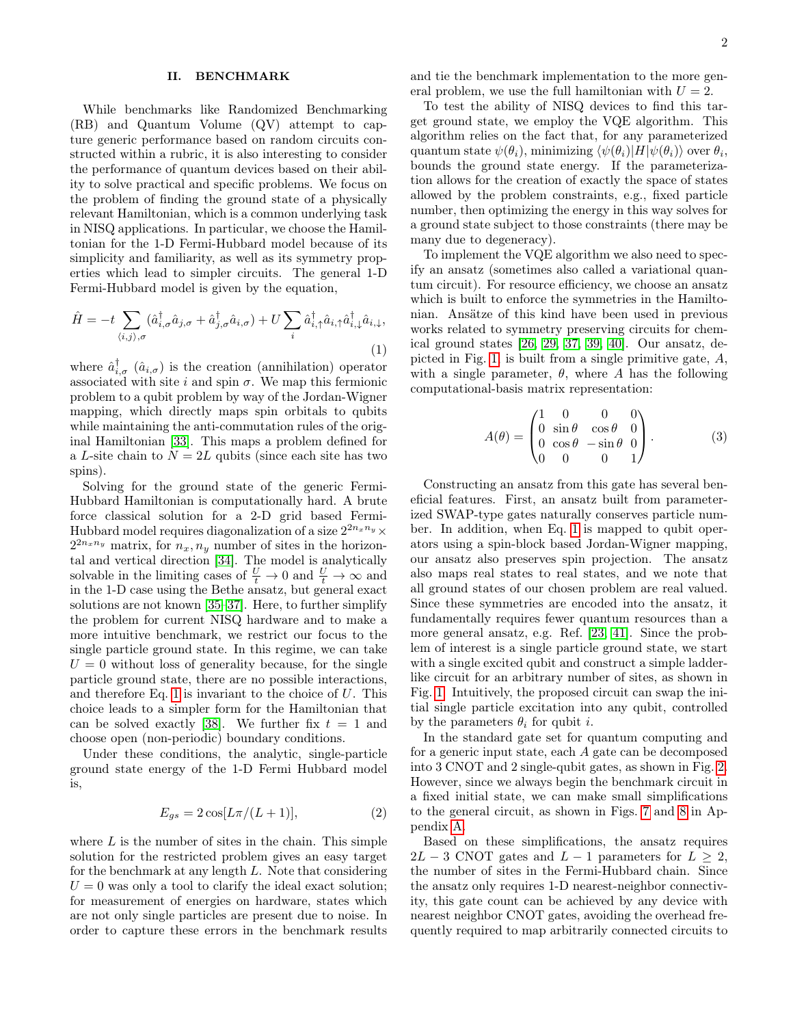# <span id="page-1-0"></span>II. BENCHMARK

While benchmarks like Randomized Benchmarking (RB) and Quantum Volume (QV) attempt to capture generic performance based on random circuits constructed within a rubric, it is also interesting to consider the performance of quantum devices based on their ability to solve practical and specific problems. We focus on the problem of finding the ground state of a physically relevant Hamiltonian, which is a common underlying task in NISQ applications. In particular, we choose the Hamiltonian for the 1-D Fermi-Hubbard model because of its simplicity and familiarity, as well as its symmetry properties which lead to simpler circuits. The general 1-D Fermi-Hubbard model is given by the equation,

<span id="page-1-1"></span>
$$
\hat{H} = -t \sum_{\langle i,j \rangle,\sigma} (\hat{a}_{i,\sigma}^{\dagger} \hat{a}_{j,\sigma} + \hat{a}_{j,\sigma}^{\dagger} \hat{a}_{i,\sigma}) + U \sum_{i} \hat{a}_{i,\uparrow}^{\dagger} \hat{a}_{i,\uparrow} \hat{a}_{i,\downarrow}^{\dagger} \hat{a}_{i,\downarrow},
$$
\n(1)

where  $\hat{a}_{i,\sigma}^{\dagger}$   $(\hat{a}_{i,\sigma})$  is the creation (annihilation) operator associated with site i and spin  $\sigma$ . We map this fermionic problem to a qubit problem by way of the Jordan-Wigner mapping, which directly maps spin orbitals to qubits while maintaining the anti-commutation rules of the original Hamiltonian [\[33\]](#page-7-5). This maps a problem defined for a L-site chain to  $N = 2L$  qubits (since each site has two spins).

Solving for the ground state of the generic Fermi-Hubbard Hamiltonian is computationally hard. A brute force classical solution for a 2-D grid based Fermi-Hubbard model requires diagonalization of a size  $2^{2n_x n_y} \times$  $2^{2n_x n_y}$  matrix, for  $n_x, n_y$  number of sites in the horizon-tal and vertical direction [\[34\]](#page-7-6). The model is analytically solvable in the limiting cases of  $\frac{U}{t} \to 0$  and  $\frac{U}{t} \to \infty$  and in the 1-D case using the Bethe ansatz, but general exact solutions are not known [\[35–](#page-7-7)[37\]](#page-7-8). Here, to further simplify the problem for current NISQ hardware and to make a more intuitive benchmark, we restrict our focus to the single particle ground state. In this regime, we can take  $U = 0$  without loss of generality because, for the single particle ground state, there are no possible interactions, and therefore Eq. [1](#page-1-1) is invariant to the choice of  $U$ . This choice leads to a simpler form for the Hamiltonian that can be solved exactly [\[38\]](#page-7-9). We further fix  $t = 1$  and choose open (non-periodic) boundary conditions.

Under these conditions, the analytic, single-particle ground state energy of the 1-D Fermi Hubbard model is,

$$
E_{gs} = 2\cos[L\pi/(L+1)],\tag{2}
$$

where  $L$  is the number of sites in the chain. This simple solution for the restricted problem gives an easy target for the benchmark at any length L. Note that considering  $U = 0$  was only a tool to clarify the ideal exact solution; for measurement of energies on hardware, states which are not only single particles are present due to noise. In order to capture these errors in the benchmark results and tie the benchmark implementation to the more general problem, we use the full hamiltonian with  $U = 2$ .

To test the ability of NISQ devices to find this target ground state, we employ the VQE algorithm. This algorithm relies on the fact that, for any parameterized quantum state  $\psi(\theta_i)$ , minimizing  $\langle \psi(\theta_i)|H|\psi(\theta_i)\rangle$  over  $\theta_i$ , bounds the ground state energy. If the parameterization allows for the creation of exactly the space of states allowed by the problem constraints, e.g., fixed particle number, then optimizing the energy in this way solves for a ground state subject to those constraints (there may be many due to degeneracy).

To implement the VQE algorithm we also need to specify an ansatz (sometimes also called a variational quantum circuit). For resource efficiency, we choose an ansatz which is built to enforce the symmetries in the Hamiltonian. Ansätze of this kind have been used in previous works related to symmetry preserving circuits for chemical ground states [\[26,](#page-7-1) [29,](#page-7-2) [37,](#page-7-8) [39,](#page-7-10) [40\]](#page-7-11). Our ansatz, de-picted in Fig. [1,](#page-2-0) is built from a single primitive gate,  $A$ , with a single parameter,  $\theta$ , where A has the following computational-basis matrix representation:

$$
A(\theta) = \begin{pmatrix} 1 & 0 & 0 & 0 \\ 0 & \sin \theta & \cos \theta & 0 \\ 0 & \cos \theta & -\sin \theta & 0 \\ 0 & 0 & 0 & 1 \end{pmatrix}.
$$
 (3)

Constructing an ansatz from this gate has several beneficial features. First, an ansatz built from parameterized SWAP-type gates naturally conserves particle number. In addition, when Eq. [1](#page-1-1) is mapped to qubit operators using a spin-block based Jordan-Wigner mapping, our ansatz also preserves spin projection. The ansatz also maps real states to real states, and we note that all ground states of our chosen problem are real valued. Since these symmetries are encoded into the ansatz, it fundamentally requires fewer quantum resources than a more general ansatz, e.g. Ref. [\[23,](#page-6-9) [41\]](#page-7-12). Since the problem of interest is a single particle ground state, we start with a single excited qubit and construct a simple ladderlike circuit for an arbitrary number of sites, as shown in Fig. [1.](#page-2-0) Intuitively, the proposed circuit can swap the initial single particle excitation into any qubit, controlled by the parameters  $\theta_i$  for qubit *i*.

In the standard gate set for quantum computing and for a generic input state, each A gate can be decomposed into 3 CNOT and 2 single-qubit gates, as shown in Fig. [2.](#page-2-1) However, since we always begin the benchmark circuit in a fixed initial state, we can make small simplifications to the general circuit, as shown in Figs. [7](#page-7-13) and [8](#page-8-0) in Appendix [A.](#page-7-14)

Based on these simplifications, the ansatz requires  $2L - 3$  CNOT gates and  $L - 1$  parameters for  $L \geq 2$ , the number of sites in the Fermi-Hubbard chain. Since the ansatz only requires 1-D nearest-neighbor connectivity, this gate count can be achieved by any device with nearest neighbor CNOT gates, avoiding the overhead frequently required to map arbitrarily connected circuits to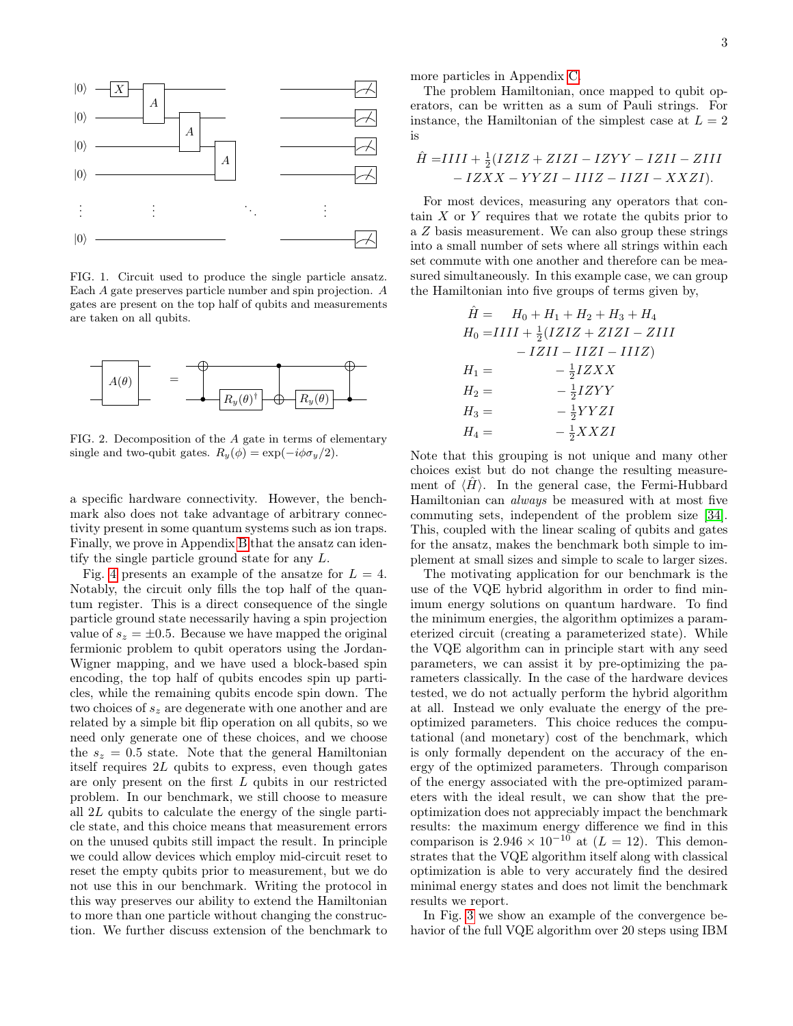

<span id="page-2-0"></span>FIG. 1. Circuit used to produce the single particle ansatz. Each A gate preserves particle number and spin projection. A gates are present on the top half of qubits and measurements are taken on all qubits.



<span id="page-2-1"></span>FIG. 2. Decomposition of the A gate in terms of elementary single and two-qubit gates.  $R_y(\phi) = \exp(-i\phi \sigma_y/2)$ .

a specific hardware connectivity. However, the benchmark also does not take advantage of arbitrary connectivity present in some quantum systems such as ion traps. Finally, we prove in Appendix [B](#page-8-1) that the ansatz can identify the single particle ground state for any L.

Fig. [4](#page-3-1) presents an example of the ansatze for  $L = 4$ . Notably, the circuit only fills the top half of the quantum register. This is a direct consequence of the single particle ground state necessarily having a spin projection value of  $s_z = \pm 0.5$ . Because we have mapped the original fermionic problem to qubit operators using the Jordan-Wigner mapping, and we have used a block-based spin encoding, the top half of qubits encodes spin up particles, while the remaining qubits encode spin down. The two choices of  $s<sub>z</sub>$  are degenerate with one another and are related by a simple bit flip operation on all qubits, so we need only generate one of these choices, and we choose the  $s_z = 0.5$  state. Note that the general Hamiltonian itself requires  $2L$  qubits to express, even though gates are only present on the first L qubits in our restricted problem. In our benchmark, we still choose to measure all 2L qubits to calculate the energy of the single particle state, and this choice means that measurement errors on the unused qubits still impact the result. In principle we could allow devices which employ mid-circuit reset to reset the empty qubits prior to measurement, but we do not use this in our benchmark. Writing the protocol in this way preserves our ability to extend the Hamiltonian to more than one particle without changing the construction. We further discuss extension of the benchmark to

more particles in Appendix [C.](#page-8-2)

The problem Hamiltonian, once mapped to qubit operators, can be written as a sum of Pauli strings. For instance, the Hamiltonian of the simplest case at  $L = 2$ is

$$
\hat{H} = IIII + \frac{1}{2}(IZIZ + ZIZI - IZYY - IZII - ZIII - IZXX - YYZI - IIIZ - IIZI - XXZI).
$$

For most devices, measuring any operators that contain  $X$  or  $Y$  requires that we rotate the qubits prior to a Z basis measurement. We can also group these strings into a small number of sets where all strings within each set commute with one another and therefore can be measured simultaneously. In this example case, we can group the Hamiltonian into five groups of terms given by,

$$
\hat{H} = H_0 + H_1 + H_2 + H_3 + H_4 \nH_0 = IIII + \frac{1}{2}(IZIZ + ZIZI - ZIII \n-IZII - IIZI - IIIZ) \nH_1 = -\frac{1}{2}IZXX \nH_2 = -\frac{1}{2}IZYY \nH_3 = -\frac{1}{2}YYZI \nH_4 = -\frac{1}{2}XXZI
$$

Note that this grouping is not unique and many other choices exist but do not change the resulting measurement of  $\langle H \rangle$ . In the general case, the Fermi-Hubbard Hamiltonian can always be measured with at most five commuting sets, independent of the problem size [\[34\]](#page-7-6). This, coupled with the linear scaling of qubits and gates for the ansatz, makes the benchmark both simple to implement at small sizes and simple to scale to larger sizes.

The motivating application for our benchmark is the use of the VQE hybrid algorithm in order to find minimum energy solutions on quantum hardware. To find the minimum energies, the algorithm optimizes a parameterized circuit (creating a parameterized state). While the VQE algorithm can in principle start with any seed parameters, we can assist it by pre-optimizing the parameters classically. In the case of the hardware devices tested, we do not actually perform the hybrid algorithm at all. Instead we only evaluate the energy of the preoptimized parameters. This choice reduces the computational (and monetary) cost of the benchmark, which is only formally dependent on the accuracy of the energy of the optimized parameters. Through comparison of the energy associated with the pre-optimized parameters with the ideal result, we can show that the preoptimization does not appreciably impact the benchmark results: the maximum energy difference we find in this comparison is  $2.946 \times 10^{-10}$  at  $(L = 12)$ . This demonstrates that the VQE algorithm itself along with classical optimization is able to very accurately find the desired minimal energy states and does not limit the benchmark results we report.

In Fig. [3](#page-3-2) we show an example of the convergence behavior of the full VQE algorithm over 20 steps using IBM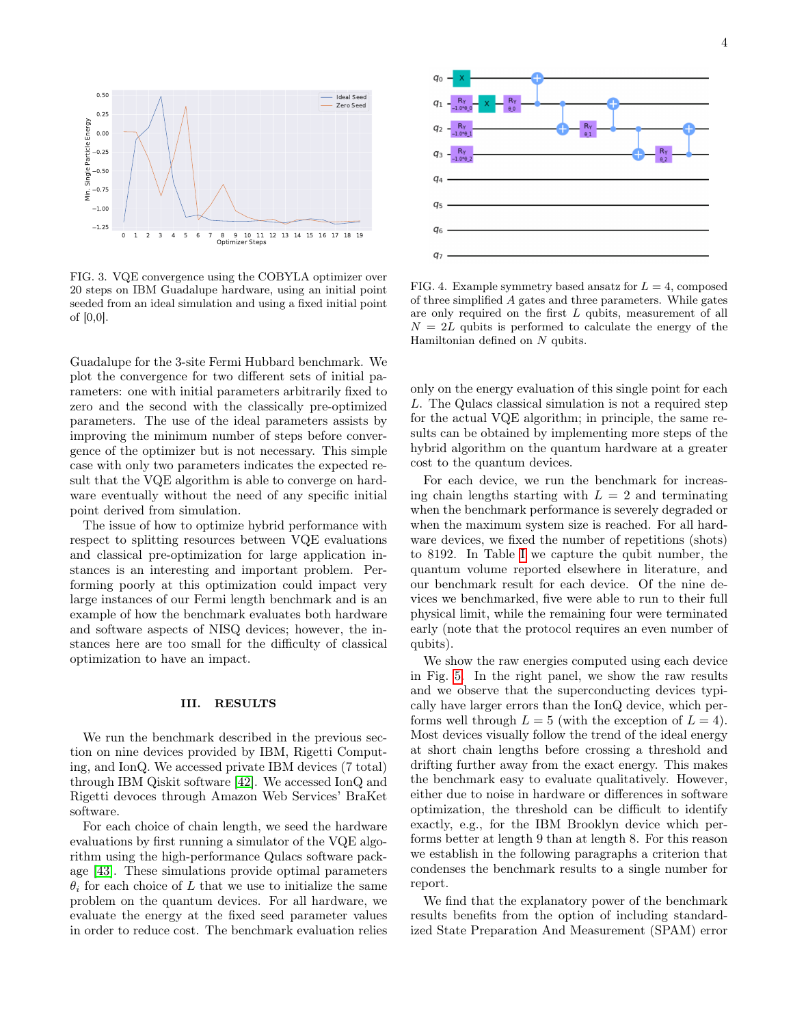

<span id="page-3-2"></span>FIG. 3. VQE convergence using the COBYLA optimizer over 20 steps on IBM Guadalupe hardware, using an initial point seeded from an ideal simulation and using a fixed initial point of [0,0].

Guadalupe for the 3-site Fermi Hubbard benchmark. We plot the convergence for two different sets of initial parameters: one with initial parameters arbitrarily fixed to zero and the second with the classically pre-optimized parameters. The use of the ideal parameters assists by improving the minimum number of steps before convergence of the optimizer but is not necessary. This simple case with only two parameters indicates the expected result that the VQE algorithm is able to converge on hardware eventually without the need of any specific initial point derived from simulation.

The issue of how to optimize hybrid performance with respect to splitting resources between VQE evaluations and classical pre-optimization for large application instances is an interesting and important problem. Performing poorly at this optimization could impact very large instances of our Fermi length benchmark and is an example of how the benchmark evaluates both hardware and software aspects of NISQ devices; however, the instances here are too small for the difficulty of classical optimization to have an impact.

# <span id="page-3-0"></span>III. RESULTS

We run the benchmark described in the previous section on nine devices provided by IBM, Rigetti Computing, and IonQ. We accessed private IBM devices (7 total) through IBM Qiskit software [\[42\]](#page-7-15). We accessed IonQ and Rigetti devoces through Amazon Web Services' BraKet software.

For each choice of chain length, we seed the hardware evaluations by first running a simulator of the VQE algorithm using the high-performance Qulacs software package [\[43\]](#page-7-16). These simulations provide optimal parameters  $\theta_i$  for each choice of L that we use to initialize the same problem on the quantum devices. For all hardware, we evaluate the energy at the fixed seed parameter values in order to reduce cost. The benchmark evaluation relies



<span id="page-3-1"></span>FIG. 4. Example symmetry based ansatz for  $L = 4$ , composed of three simplified A gates and three parameters. While gates are only required on the first L qubits, measurement of all  $N = 2L$  qubits is performed to calculate the energy of the Hamiltonian defined on N qubits.

only on the energy evaluation of this single point for each L. The Qulacs classical simulation is not a required step for the actual VQE algorithm; in principle, the same results can be obtained by implementing more steps of the hybrid algorithm on the quantum hardware at a greater cost to the quantum devices.

For each device, we run the benchmark for increasing chain lengths starting with  $L = 2$  and terminating when the benchmark performance is severely degraded or when the maximum system size is reached. For all hardware devices, we fixed the number of repetitions (shots) to 8192. In Table [I](#page-4-0) we capture the qubit number, the quantum volume reported elsewhere in literature, and our benchmark result for each device. Of the nine devices we benchmarked, five were able to run to their full physical limit, while the remaining four were terminated early (note that the protocol requires an even number of qubits).

We show the raw energies computed using each device in Fig. [5.](#page-4-1) In the right panel, we show the raw results and we observe that the superconducting devices typically have larger errors than the IonQ device, which performs well through  $L = 5$  (with the exception of  $L = 4$ ). Most devices visually follow the trend of the ideal energy at short chain lengths before crossing a threshold and drifting further away from the exact energy. This makes the benchmark easy to evaluate qualitatively. However, either due to noise in hardware or differences in software optimization, the threshold can be difficult to identify exactly, e.g., for the IBM Brooklyn device which performs better at length 9 than at length 8. For this reason we establish in the following paragraphs a criterion that condenses the benchmark results to a single number for report.

We find that the explanatory power of the benchmark results benefits from the option of including standardized State Preparation And Measurement (SPAM) error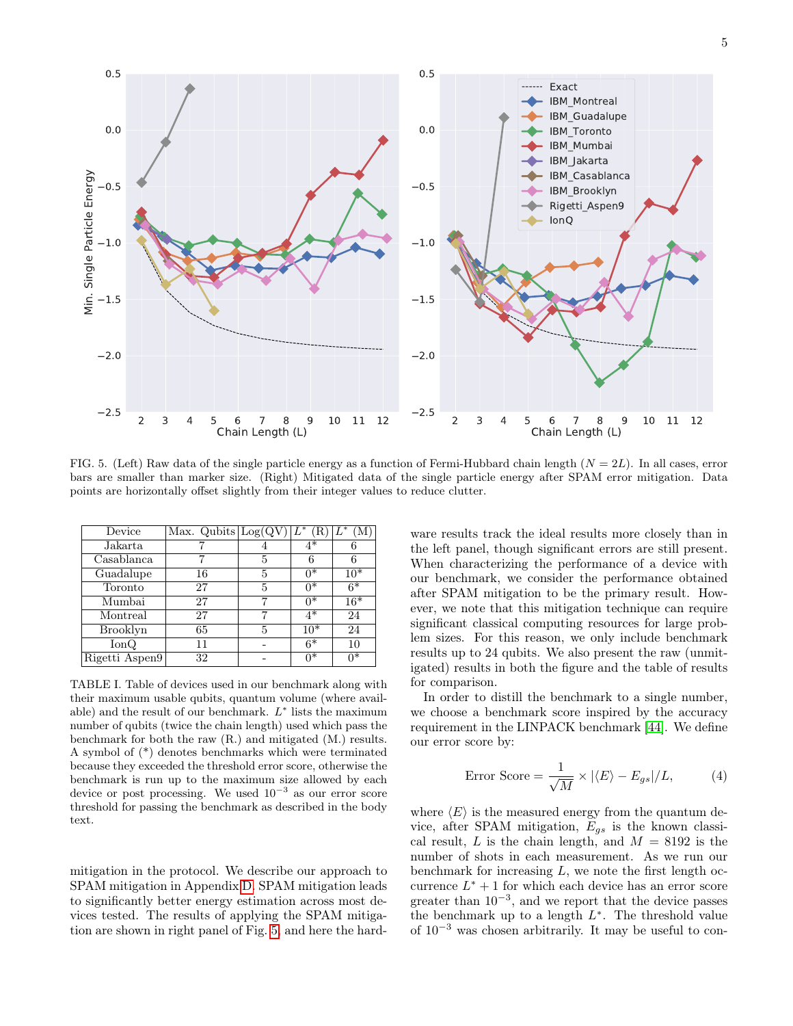

<span id="page-4-1"></span>FIG. 5. (Left) Raw data of the single particle energy as a function of Fermi-Hubbard chain length  $(N = 2L)$ . In all cases, error bars are smaller than marker size. (Right) Mitigated data of the single particle energy after SPAM error mitigation. Data points are horizontally offset slightly from their integer values to reduce clutter.

| Device          | Max. Qubits $\log(QV)$ $L^*$ |   | (R)   |       |
|-----------------|------------------------------|---|-------|-------|
|                 |                              |   |       |       |
| Jakarta         |                              |   | $4*$  |       |
| Casablanca      |                              | 5 | 6     |       |
| Guadalupe       | 16                           | 5 | $0^*$ | $10*$ |
| Toronto         | 27                           | 5 | $0^*$ | $6*$  |
| Mumbai          | 27                           |   | $0^*$ | $16*$ |
| Montreal        | 27                           |   | $4*$  | 24    |
| <b>Brooklyn</b> | 65                           | 5 | $10*$ | 24    |
| $\text{IonQ}$   | 11                           |   | $6*$  | 10    |
| Rigetti Aspen9  | 32                           |   | $0*$  | n*    |

<span id="page-4-0"></span>TABLE I. Table of devices used in our benchmark along with their maximum usable qubits, quantum volume (where available) and the result of our benchmark.  $L^*$  lists the maximum number of qubits (twice the chain length) used which pass the benchmark for both the raw (R.) and mitigated (M.) results. A symbol of (\*) denotes benchmarks which were terminated because they exceeded the threshold error score, otherwise the benchmark is run up to the maximum size allowed by each device or post processing. We used  $10^{-3}$  as our error score threshold for passing the benchmark as described in the body text.

mitigation in the protocol. We describe our approach to SPAM mitigation in Appendix [D.](#page-9-0) SPAM mitigation leads to significantly better energy estimation across most devices tested. The results of applying the SPAM mitigation are shown in right panel of Fig. [5,](#page-4-1) and here the hard-

ware results track the ideal results more closely than in the left panel, though significant errors are still present. When characterizing the performance of a device with our benchmark, we consider the performance obtained after SPAM mitigation to be the primary result. However, we note that this mitigation technique can require significant classical computing resources for large problem sizes. For this reason, we only include benchmark results up to 24 qubits. We also present the raw (unmitigated) results in both the figure and the table of results for comparison.

In order to distill the benchmark to a single number, we choose a benchmark score inspired by the accuracy requirement in the LINPACK benchmark [\[44\]](#page-7-17). We define our error score by:

Error Score = 
$$
\frac{1}{\sqrt{M}} \times |\langle E \rangle - E_{gs}|/L,
$$
 (4)

where  $\langle E \rangle$  is the measured energy from the quantum device, after SPAM mitigation,  $E_{gs}$  is the known classical result, L is the chain length, and  $M = 8192$  is the number of shots in each measurement. As we run our benchmark for increasing  $L$ , we note the first length occurrence  $L^* + 1$  for which each device has an error score greater than  $10^{-3}$ , and we report that the device passes the benchmark up to a length  $L^*$ . The threshold value of 10<sup>−</sup><sup>3</sup> was chosen arbitrarily. It may be useful to con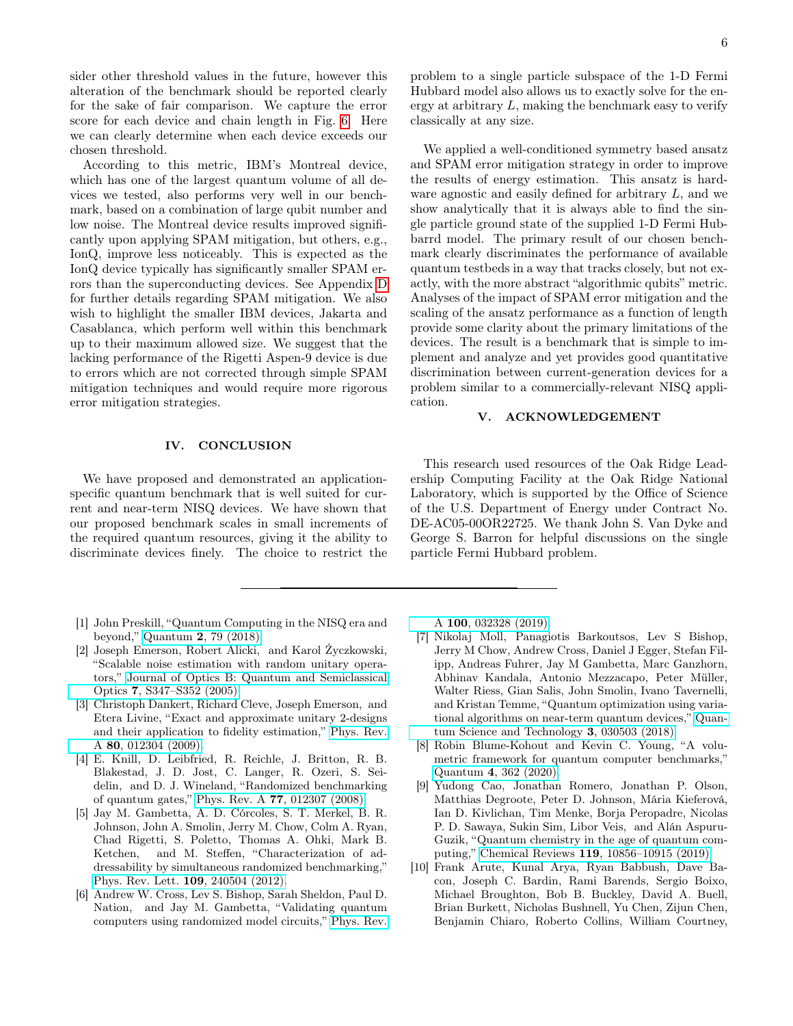sider other threshold values in the future, however this alteration of the benchmark should be reported clearly for the sake of fair comparison. We capture the error score for each device and chain length in Fig. [6.](#page-6-10) Here we can clearly determine when each device exceeds our chosen threshold.

According to this metric, IBM's Montreal device, which has one of the largest quantum volume of all devices we tested, also performs very well in our benchmark, based on a combination of large qubit number and low noise. The Montreal device results improved significantly upon applying SPAM mitigation, but others, e.g., IonQ, improve less noticeably. This is expected as the IonQ device typically has significantly smaller SPAM errors than the superconducting devices. See Appendix [D](#page-9-0) for further details regarding SPAM mitigation. We also wish to highlight the smaller IBM devices, Jakarta and Casablanca, which perform well within this benchmark up to their maximum allowed size. We suggest that the lacking performance of the Rigetti Aspen-9 device is due to errors which are not corrected through simple SPAM mitigation techniques and would require more rigorous error mitigation strategies.

# <span id="page-5-5"></span>IV. CONCLUSION

We have proposed and demonstrated an applicationspecific quantum benchmark that is well suited for current and near-term NISQ devices. We have shown that our proposed benchmark scales in small increments of the required quantum resources, giving it the ability to discriminate devices finely. The choice to restrict the

- <span id="page-5-0"></span>[1] John Preskill, "Quantum Computing in the NISQ era and beyond," Quantum 2[, 79 \(2018\).](http://dx.doi.org/ 10.22331/q-2018-08-06-79)
- <span id="page-5-1"></span>[2] Joseph Emerson, Robert Alicki, and Karol Życzkowski, "Scalable noise estimation with random unitary operators," [Journal of Optics B: Quantum and Semiclassical](http://dx.doi.org/ 10.1088/1464-4266/7/10/021) Optics 7[, S347–S352 \(2005\).](http://dx.doi.org/ 10.1088/1464-4266/7/10/021)
- [3] Christoph Dankert, Richard Cleve, Joseph Emerson, and Etera Livine, "Exact and approximate unitary 2-designs and their application to fidelity estimation," [Phys. Rev.](http://dx.doi.org/10.1103/PhysRevA.80.012304) A 80[, 012304 \(2009\).](http://dx.doi.org/10.1103/PhysRevA.80.012304)
- [4] E. Knill, D. Leibfried, R. Reichle, J. Britton, R. B. Blakestad, J. D. Jost, C. Langer, R. Ozeri, S. Seidelin, and D. J. Wineland, "Randomized benchmarking of quantum gates," Phys. Rev. A 77[, 012307 \(2008\).](http://dx.doi.org/ 10.1103/PhysRevA.77.012307)
- [5] Jay M. Gambetta, A. D. Córcoles, S. T. Merkel, B. R. Johnson, John A. Smolin, Jerry M. Chow, Colm A. Ryan, Chad Rigetti, S. Poletto, Thomas A. Ohki, Mark B. Ketchen, and M. Steffen, "Characterization of addressability by simultaneous randomized benchmarking," [Phys. Rev. Lett.](http://dx.doi.org/10.1103/PhysRevLett.109.240504) 109, 240504 (2012).
- [6] Andrew W. Cross, Lev S. Bishop, Sarah Sheldon, Paul D. Nation, and Jay M. Gambetta, "Validating quantum computers using randomized model circuits," [Phys. Rev.](http://dx.doi.org/10.1103/PhysRevA.100.032328)

problem to a single particle subspace of the 1-D Fermi Hubbard model also allows us to exactly solve for the energy at arbitrary L, making the benchmark easy to verify classically at any size.

We applied a well-conditioned symmetry based ansatz and SPAM error mitigation strategy in order to improve the results of energy estimation. This ansatz is hardware agnostic and easily defined for arbitrary L, and we show analytically that it is always able to find the single particle ground state of the supplied 1-D Fermi Hubbarrd model. The primary result of our chosen benchmark clearly discriminates the performance of available quantum testbeds in a way that tracks closely, but not exactly, with the more abstract "algorithmic qubits" metric. Analyses of the impact of SPAM error mitigation and the scaling of the ansatz performance as a function of length provide some clarity about the primary limitations of the devices. The result is a benchmark that is simple to implement and analyze and yet provides good quantitative discrimination between current-generation devices for a problem similar to a commercially-relevant NISQ application.

### V. ACKNOWLEDGEMENT

This research used resources of the Oak Ridge Leadership Computing Facility at the Oak Ridge National Laboratory, which is supported by the Office of Science of the U.S. Department of Energy under Contract No. DE-AC05-00OR22725. We thank John S. Van Dyke and George S. Barron for helpful discussions on the single particle Fermi Hubbard problem.

A 100[, 032328 \(2019\).](http://dx.doi.org/10.1103/PhysRevA.100.032328)

- [7] Nikolaj Moll, Panagiotis Barkoutsos, Lev S Bishop, Jerry M Chow, Andrew Cross, Daniel J Egger, Stefan Filipp, Andreas Fuhrer, Jay M Gambetta, Marc Ganzhorn, Abhinav Kandala, Antonio Mezzacapo, Peter Müller, Walter Riess, Gian Salis, John Smolin, Ivano Tavernelli, and Kristan Temme, "Quantum optimization using variational algorithms on near-term quantum devices," [Quan](http://dx.doi.org/ 10.1088/2058-9565/aab822)[tum Science and Technology](http://dx.doi.org/ 10.1088/2058-9565/aab822) 3, 030503 (2018).
- <span id="page-5-2"></span>[8] Robin Blume-Kohout and Kevin C. Young, "A volumetric framework for quantum computer benchmarks," Quantum 4[, 362 \(2020\).](http://dx.doi.org/ 10.22331/q-2020-11-15-362)
- <span id="page-5-3"></span>[9] Yudong Cao, Jonathan Romero, Jonathan P. Olson, Matthias Degroote, Peter D. Johnson, Mária Kieferová, Ian D. Kivlichan, Tim Menke, Borja Peropadre, Nicolas P. D. Sawaya, Sukin Sim, Libor Veis, and Alán Aspuru-Guzik, "Quantum chemistry in the age of quantum computing," Chemical Reviews 119[, 10856–10915 \(2019\).](http://dx.doi.org/10.1021/acs.chemrev.8b00803)
- <span id="page-5-4"></span>[10] Frank Arute, Kunal Arya, Ryan Babbush, Dave Bacon, Joseph C. Bardin, Rami Barends, Sergio Boixo, Michael Broughton, Bob B. Buckley, David A. Buell, Brian Burkett, Nicholas Bushnell, Yu Chen, Zijun Chen, Benjamin Chiaro, Roberto Collins, William Courtney,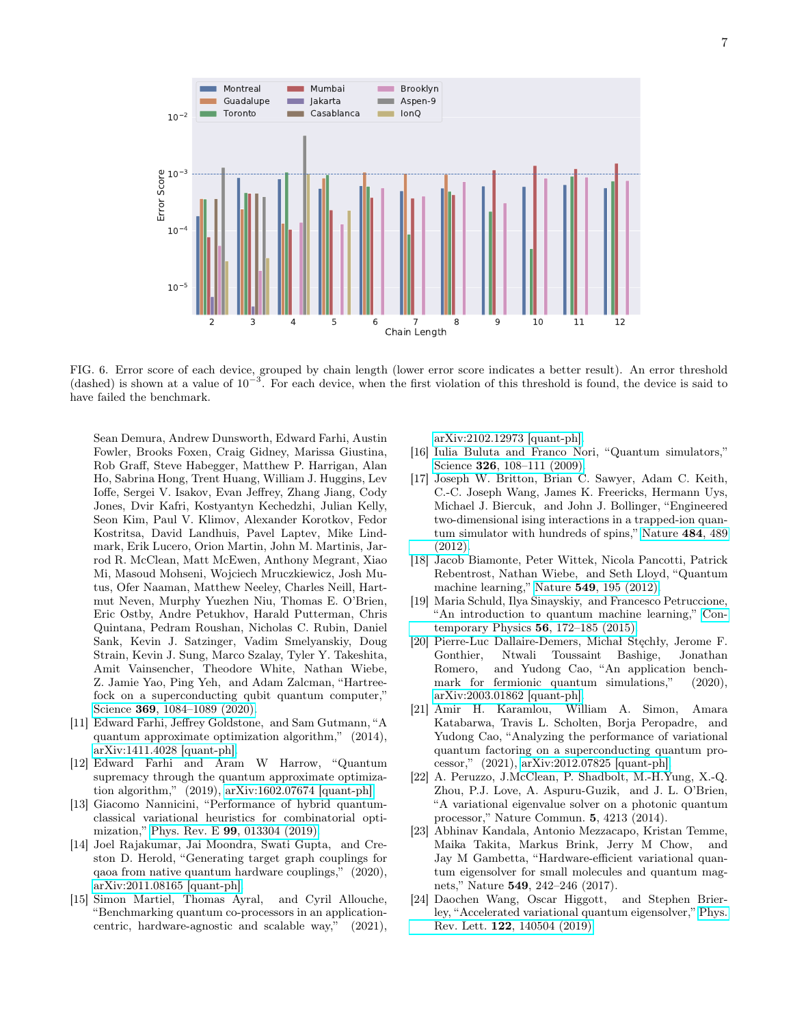

<span id="page-6-10"></span>FIG. 6. Error score of each device, grouped by chain length (lower error score indicates a better result). An error threshold (dashed) is shown at a value of  $10^{-3}$ . For each device, when the first violation of this threshold is found, the device is said to have failed the benchmark.

Sean Demura, Andrew Dunsworth, Edward Farhi, Austin Fowler, Brooks Foxen, Craig Gidney, Marissa Giustina, Rob Graff, Steve Habegger, Matthew P. Harrigan, Alan Ho, Sabrina Hong, Trent Huang, William J. Huggins, Lev Ioffe, Sergei V. Isakov, Evan Jeffrey, Zhang Jiang, Cody Jones, Dvir Kafri, Kostyantyn Kechedzhi, Julian Kelly, Seon Kim, Paul V. Klimov, Alexander Korotkov, Fedor Kostritsa, David Landhuis, Pavel Laptev, Mike Lindmark, Erik Lucero, Orion Martin, John M. Martinis, Jarrod R. McClean, Matt McEwen, Anthony Megrant, Xiao Mi, Masoud Mohseni, Wojciech Mruczkiewicz, Josh Mutus, Ofer Naaman, Matthew Neeley, Charles Neill, Hartmut Neven, Murphy Yuezhen Niu, Thomas E. O'Brien, Eric Ostby, Andre Petukhov, Harald Putterman, Chris Quintana, Pedram Roushan, Nicholas C. Rubin, Daniel Sank, Kevin J. Satzinger, Vadim Smelyanskiy, Doug Strain, Kevin J. Sung, Marco Szalay, Tyler Y. Takeshita, Amit Vainsencher, Theodore White, Nathan Wiebe, Z. Jamie Yao, Ping Yeh, and Adam Zalcman, "Hartreefock on a superconducting qubit quantum computer," Science 369[, 1084–1089 \(2020\).](http://dx.doi.org/10.1126/science.abb9811)

- <span id="page-6-0"></span>[11] Edward Farhi, Jeffrey Goldstone, and Sam Gutmann, "A quantum approximate optimization algorithm," (2014), [arXiv:1411.4028 \[quant-ph\].](http://arxiv.org/abs/1411.4028)
- [12] Edward Farhi and Aram W Harrow, "Quantum supremacy through the quantum approximate optimization algorithm," (2019), [arXiv:1602.07674 \[quant-ph\].](http://arxiv.org/abs/1602.07674)
- [13] Giacomo Nannicini, "Performance of hybrid quantumclassical variational heuristics for combinatorial optimization," Phys. Rev. E 99[, 013304 \(2019\).](http://dx.doi.org/10.1103/PhysRevE.99.013304)
- [14] Joel Rajakumar, Jai Moondra, Swati Gupta, and Creston D. Herold, "Generating target graph couplings for qaoa from native quantum hardware couplings," (2020), [arXiv:2011.08165 \[quant-ph\].](http://arxiv.org/abs/2011.08165)
- <span id="page-6-1"></span>[15] Simon Martiel, Thomas Ayral, and Cyril Allouche, "Benchmarking quantum co-processors in an applicationcentric, hardware-agnostic and scalable way," (2021),

[arXiv:2102.12973 \[quant-ph\].](http://arxiv.org/abs/2102.12973)

- <span id="page-6-2"></span>[16] Iulia Buluta and Franco Nori, "Quantum simulators," Science 326[, 108–111 \(2009\).](http://dx.doi.org/10.1126/science.1177838)
- <span id="page-6-3"></span>[17] Joseph W. Britton, Brian C. Sawyer, Adam C. Keith, C.-C. Joseph Wang, James K. Freericks, Hermann Uys, Michael J. Biercuk, and John J. Bollinger, "Engineered two-dimensional ising interactions in a trapped-ion quantum simulator with hundreds of spins," [Nature](http://dx.doi.org/ https://doi.org/10.1038/nature10981) 484, 489 [\(2012\).](http://dx.doi.org/ https://doi.org/10.1038/nature10981)
- <span id="page-6-4"></span>[18] Jacob Biamonte, Peter Wittek, Nicola Pancotti, Patrick Rebentrost, Nathan Wiebe, and Seth Lloyd, "Quantum machine learning," Nature 549[, 195 \(2012\).](http://dx.doi.org/https://doi.org/10.1038/nature23474)
- <span id="page-6-5"></span>[19] Maria Schuld, Ilya Sinayskiy, and Francesco Petruccione, "An introduction to quantum machine learning," [Con](http://dx.doi.org/ 10.1080/00107514.2014.964942)[temporary Physics](http://dx.doi.org/ 10.1080/00107514.2014.964942) 56, 172–185 (2015).
- <span id="page-6-6"></span>[20] Pierre-Luc Dallaire-Demers, Michał Stęchły, Jerome F. Gonthier, Ntwali Toussaint Bashige, Jonathan Romero, and Yudong Cao, "An application benchmark for fermionic quantum simulations," (2020), [arXiv:2003.01862 \[quant-ph\].](http://arxiv.org/abs/2003.01862)
- <span id="page-6-7"></span>[21] Amir H. Karamlou, William A. Simon, Amara Katabarwa, Travis L. Scholten, Borja Peropadre, and Yudong Cao, "Analyzing the performance of variational quantum factoring on a superconducting quantum processor," (2021), [arXiv:2012.07825 \[quant-ph\].](http://arxiv.org/abs/2012.07825)
- <span id="page-6-8"></span>[22] A. Peruzzo, J.McClean, P. Shadbolt, M.-H.Yung, X.-Q. Zhou, P.J. Love, A. Aspuru-Guzik, and J. L. O'Brien, "A variational eigenvalue solver on a photonic quantum processor," Nature Commun. 5, 4213 (2014).
- <span id="page-6-9"></span>[23] Abhinav Kandala, Antonio Mezzacapo, Kristan Temme, Maika Takita, Markus Brink, Jerry M Chow, and Jay M Gambetta, "Hardware-efficient variational quantum eigensolver for small molecules and quantum magnets," Nature 549, 242–246 (2017).
- [24] Daochen Wang, Oscar Higgott, and Stephen Brierley, "Accelerated variational quantum eigensolver," [Phys.](http://dx.doi.org/10.1103/PhysRevLett.122.140504) Rev. Lett. 122[, 140504 \(2019\).](http://dx.doi.org/10.1103/PhysRevLett.122.140504)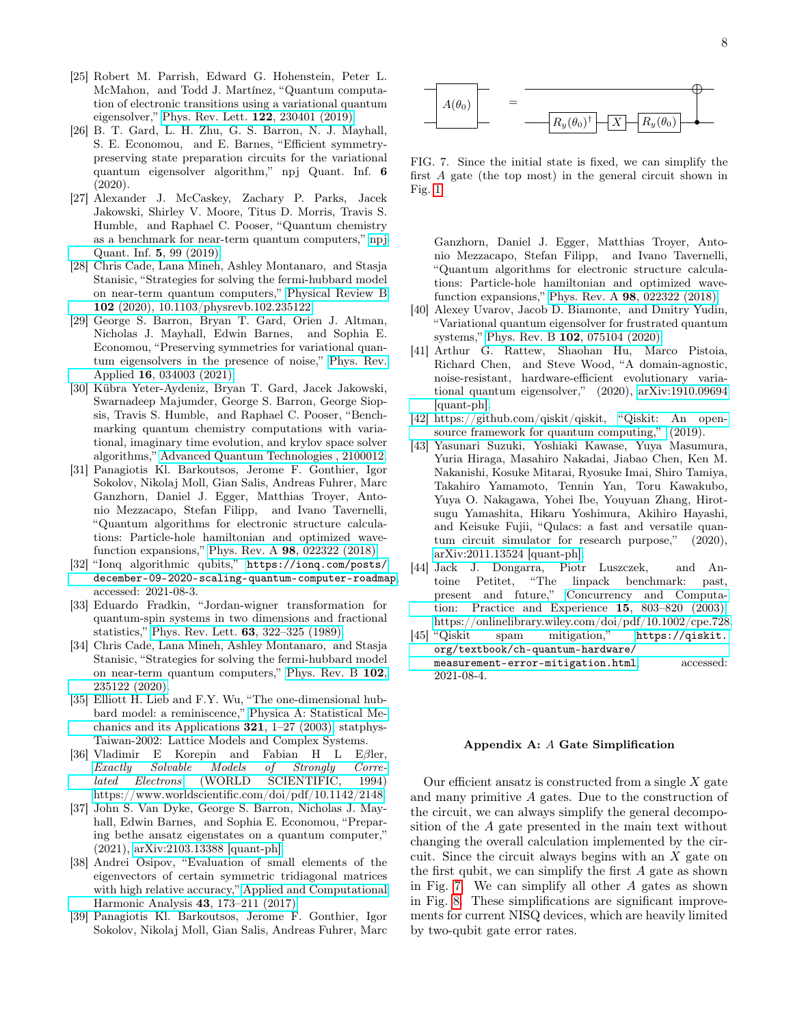- [25] Robert M. Parrish, Edward G. Hohenstein, Peter L. McMahon, and Todd J. Martínez, "Quantum computation of electronic transitions using a variational quantum eigensolver," [Phys. Rev. Lett.](http://dx.doi.org/10.1103/PhysRevLett.122.230401) 122, 230401 (2019).
- <span id="page-7-1"></span>[26] B. T. Gard, L. H. Zhu, G. S. Barron, N. J. Mayhall, S. E. Economou, and E. Barnes, "Efficient symmetrypreserving state preparation circuits for the variational quantum eigensolver algorithm," npj Quant. Inf. 6 (2020).
- [27] Alexander J. McCaskey, Zachary P. Parks, Jacek Jakowski, Shirley V. Moore, Titus D. Morris, Travis S. Humble, and Raphael C. Pooser, "Quantum chemistry as a benchmark for near-term quantum computers," [npj](http://dx.doi.org/ 10.1038/s41534-019-0209-0) [Quant. Inf.](http://dx.doi.org/ 10.1038/s41534-019-0209-0) 5, 99 (2019).
- <span id="page-7-0"></span>[28] Chris Cade, Lana Mineh, Ashley Montanaro, and Stasja Stanisic, "Strategies for solving the fermi-hubbard model on near-term quantum computers," [Physical Review B](http://dx.doi.org/ 10.1103/physrevb.102.235122) 102 [\(2020\), 10.1103/physrevb.102.235122.](http://dx.doi.org/ 10.1103/physrevb.102.235122)
- <span id="page-7-2"></span>[29] George S. Barron, Bryan T. Gard, Orien J. Altman, Nicholas J. Mayhall, Edwin Barnes, and Sophia E. Economou, "Preserving symmetries for variational quantum eigensolvers in the presence of noise," [Phys. Rev.](http://dx.doi.org/10.1103/PhysRevApplied.16.034003) Applied 16[, 034003 \(2021\).](http://dx.doi.org/10.1103/PhysRevApplied.16.034003)
- <span id="page-7-18"></span>[30] Kübra Yeter-Aydeniz, Bryan T. Gard, Jacek Jakowski, Swarnadeep Majumder, George S. Barron, George Siopsis, Travis S. Humble, and Raphael C. Pooser, "Benchmarking quantum chemistry computations with variational, imaginary time evolution, and krylov space solver algorithms," [Advanced Quantum Technologies , 2100012.](http://dx.doi.org/ https://doi.org/10.1002/qute.202100012)
- <span id="page-7-3"></span>[31] Panagiotis Kl. Barkoutsos, Jerome F. Gonthier, Igor Sokolov, Nikolaj Moll, Gian Salis, Andreas Fuhrer, Marc Ganzhorn, Daniel J. Egger, Matthias Troyer, Antonio Mezzacapo, Stefan Filipp, and Ivano Tavernelli, "Quantum algorithms for electronic structure calculations: Particle-hole hamiltonian and optimized wavefunction expansions," Phys. Rev. A 98[, 022322 \(2018\).](http://dx.doi.org/10.1103/PhysRevA.98.022322)
- <span id="page-7-4"></span>[32] "Ionq algorithmic qubits," [https://ionq.com/posts/](https://ionq.com/posts/december-09-2020-scaling-quantum-computer-roadmap) [december-09-2020-scaling-quantum-computer-roadmap](https://ionq.com/posts/december-09-2020-scaling-quantum-computer-roadmap), accessed: 2021-08-3.
- <span id="page-7-5"></span>[33] Eduardo Fradkin, "Jordan-wigner transformation for quantum-spin systems in two dimensions and fractional statistics," Phys. Rev. Lett. 63[, 322–325 \(1989\).](http://dx.doi.org/10.1103/PhysRevLett.63.322)
- <span id="page-7-6"></span>[34] Chris Cade, Lana Mineh, Ashley Montanaro, and Stasja Stanisic, "Strategies for solving the fermi-hubbard model on near-term quantum computers," [Phys. Rev. B](http://dx.doi.org/ 10.1103/PhysRevB.102.235122) 102, [235122 \(2020\).](http://dx.doi.org/ 10.1103/PhysRevB.102.235122)
- <span id="page-7-7"></span>[35] Elliott H. Lieb and F.Y. Wu, "The one-dimensional hubbard model: a reminiscence," [Physica A: Statistical Me](http://dx.doi.org/ https://doi.org/10.1016/S0378-4371(02)01785-5)[chanics and its Applications](http://dx.doi.org/ https://doi.org/10.1016/S0378-4371(02)01785-5)  $321$ ,  $1-27$  (2003), statphys-Taiwan-2002: Lattice Models and Complex Systems.
- [36] Vladimir E Korepin and Fabian H L Eβler, [Exactly Solvable Models of Strongly Corre](http://dx.doi.org/10.1142/2148)[lated Electrons](http://dx.doi.org/10.1142/2148) (WORLD SCIENTIFIC, 1994) [https://www.worldscientific.com/doi/pdf/10.1142/2148.](http://arxiv.org/abs/https://www.worldscientific.com/doi/pdf/10.1142/2148)
- <span id="page-7-8"></span>[37] John S. Van Dyke, George S. Barron, Nicholas J. Mayhall, Edwin Barnes, and Sophia E. Economou, "Preparing bethe ansatz eigenstates on a quantum computer," (2021), [arXiv:2103.13388 \[quant-ph\].](http://arxiv.org/abs/2103.13388)
- <span id="page-7-9"></span>[38] Andrei Osipov, "Evaluation of small elements of the eigenvectors of certain symmetric tridiagonal matrices with high relative accuracy," [Applied and Computational](http://dx.doi.org/ https://doi.org/10.1016/j.acha.2015.12.002) [Harmonic Analysis](http://dx.doi.org/ https://doi.org/10.1016/j.acha.2015.12.002) 43, 173–211 (2017).
- <span id="page-7-10"></span>[39] Panagiotis Kl. Barkoutsos, Jerome F. Gonthier, Igor Sokolov, Nikolaj Moll, Gian Salis, Andreas Fuhrer, Marc



<span id="page-7-13"></span>FIG. 7. Since the initial state is fixed, we can simplify the first A gate (the top most) in the general circuit shown in Fig. [1.](#page-2-0)

Ganzhorn, Daniel J. Egger, Matthias Troyer, Antonio Mezzacapo, Stefan Filipp, and Ivano Tavernelli, "Quantum algorithms for electronic structure calculations: Particle-hole hamiltonian and optimized wavefunction expansions," Phys. Rev. A 98[, 022322 \(2018\).](http://dx.doi.org/10.1103/PhysRevA.98.022322)

- <span id="page-7-11"></span>[40] Alexey Uvarov, Jacob D. Biamonte, and Dmitry Yudin, "Variational quantum eigensolver for frustrated quantum systems," Phys. Rev. B 102[, 075104 \(2020\).](http://dx.doi.org/ 10.1103/PhysRevB.102.075104)
- <span id="page-7-12"></span>[41] Arthur G. Rattew, Shaohan Hu, Marco Pistoia, Richard Chen, and Steve Wood, "A domain-agnostic, noise-resistant, hardware-efficient evolutionary variational quantum eigensolver," (2020), [arXiv:1910.09694](http://arxiv.org/abs/1910.09694) [\[quant-ph\].](http://arxiv.org/abs/1910.09694)
- <span id="page-7-15"></span>[42] https://github.com/qiskit/qiskit, ["Qiskit: An open](http://dx.doi.org/ 10.5281/zenodo.2562110)[source framework for quantum computing,"](http://dx.doi.org/ 10.5281/zenodo.2562110) (2019).
- <span id="page-7-16"></span>[43] Yasunari Suzuki, Yoshiaki Kawase, Yuya Masumura, Yuria Hiraga, Masahiro Nakadai, Jiabao Chen, Ken M. Nakanishi, Kosuke Mitarai, Ryosuke Imai, Shiro Tamiya, Takahiro Yamamoto, Tennin Yan, Toru Kawakubo, Yuya O. Nakagawa, Yohei Ibe, Youyuan Zhang, Hirotsugu Yamashita, Hikaru Yoshimura, Akihiro Hayashi, and Keisuke Fujii, "Qulacs: a fast and versatile quantum circuit simulator for research purpose," (2020), [arXiv:2011.13524 \[quant-ph\].](http://arxiv.org/abs/2011.13524)
- <span id="page-7-17"></span>[44] Jack J. Dongarra, Piotr Luszczek, and Antoine Petitet, "The linpack benchmark: past, present and future," [Concurrency and Computa](http://dx.doi.org/ https://doi.org/10.1002/cpe.728)[tion: Practice and Experience](http://dx.doi.org/ https://doi.org/10.1002/cpe.728) 15, 803–820 (2003), [https://onlinelibrary.wiley.com/doi/pdf/10.1002/cpe.728.](http://arxiv.org/abs/https://onlinelibrary.wiley.com/doi/pdf/10.1002/cpe.728)
- <span id="page-7-19"></span>[45] "Qiskit spam mitigation," [https://qiskit.](https://qiskit.org/textbook/ch-quantum-hardware/measurement-error-mitigation.html) [org/textbook/ch-quantum-hardware/](https://qiskit.org/textbook/ch-quantum-hardware/measurement-error-mitigation.html) [measurement-error-mitigation.html](https://qiskit.org/textbook/ch-quantum-hardware/measurement-error-mitigation.html), accessed: 2021-08-4.

### <span id="page-7-14"></span>Appendix A: A Gate Simplification

Our efficient ansatz is constructed from a single  $X$  gate and many primitive A gates. Due to the construction of the circuit, we can always simplify the general decomposition of the A gate presented in the main text without changing the overall calculation implemented by the circuit. Since the circuit always begins with an X gate on the first qubit, we can simplify the first A gate as shown in Fig. [7.](#page-7-13) We can simplify all other A gates as shown in Fig. [8.](#page-8-0) These simplifications are significant improvements for current NISQ devices, which are heavily limited by two-qubit gate error rates.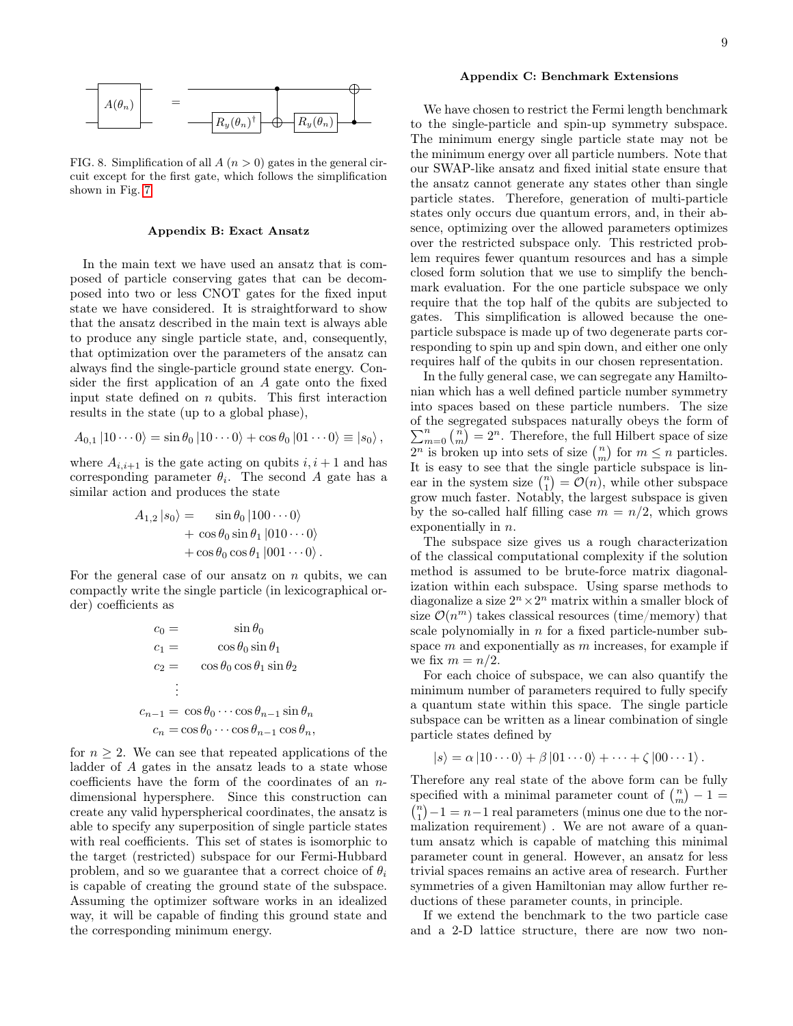

<span id="page-8-0"></span>FIG. 8. Simplification of all  $A(n > 0)$  gates in the general circuit except for the first gate, which follows the simplification shown in Fig. [7.](#page-7-13)

### <span id="page-8-1"></span>Appendix B: Exact Ansatz

In the main text we have used an ansatz that is composed of particle conserving gates that can be decomposed into two or less CNOT gates for the fixed input state we have considered. It is straightforward to show that the ansatz described in the main text is always able to produce any single particle state, and, consequently, that optimization over the parameters of the ansatz can always find the single-particle ground state energy. Consider the first application of an A gate onto the fixed input state defined on  $n$  qubits. This first interaction results in the state (up to a global phase),

$$
A_{0,1} |10\cdots 0\rangle = \sin \theta_0 |10\cdots 0\rangle + \cos \theta_0 |01\cdots 0\rangle \equiv |s_0\rangle,
$$

where  $A_{i,i+1}$  is the gate acting on qubits  $i, i+1$  and has corresponding parameter  $\theta_i$ . The second A gate has a similar action and produces the state

$$
A_{1,2} | s_0 \rangle = \sin \theta_0 | 100 \cdots 0 \rangle + \cos \theta_0 \sin \theta_1 | 010 \cdots 0 \rangle + \cos \theta_0 \cos \theta_1 | 001 \cdots 0 \rangle.
$$

For the general case of our ansatz on  $n$  qubits, we can compactly write the single particle (in lexicographical order) coefficients as

$$
c_0 = \sin \theta_0
$$
  
\n
$$
c_1 = \cos \theta_0 \sin \theta_1
$$
  
\n
$$
c_2 = \cos \theta_0 \cos \theta_1 \sin \theta_2
$$
  
\n
$$
\vdots
$$
  
\n
$$
c_{n-1} = \cos \theta_0 \cdots \cos \theta_{n-1} \sin \theta_n
$$
  
\n
$$
c_n = \cos \theta_0 \cdots \cos \theta_{n-1} \cos \theta_n,
$$

for  $n \geq 2$ . We can see that repeated applications of the ladder of A gates in the ansatz leads to a state whose coefficients have the form of the coordinates of an ndimensional hypersphere. Since this construction can create any valid hyperspherical coordinates, the ansatz is able to specify any superposition of single particle states with real coefficients. This set of states is isomorphic to the target (restricted) subspace for our Fermi-Hubbard problem, and so we guarantee that a correct choice of  $\theta_i$ is capable of creating the ground state of the subspace. Assuming the optimizer software works in an idealized way, it will be capable of finding this ground state and the corresponding minimum energy.

### <span id="page-8-2"></span>Appendix C: Benchmark Extensions

We have chosen to restrict the Fermi length benchmark to the single-particle and spin-up symmetry subspace. The minimum energy single particle state may not be the minimum energy over all particle numbers. Note that our SWAP-like ansatz and fixed initial state ensure that the ansatz cannot generate any states other than single particle states. Therefore, generation of multi-particle states only occurs due quantum errors, and, in their absence, optimizing over the allowed parameters optimizes over the restricted subspace only. This restricted problem requires fewer quantum resources and has a simple closed form solution that we use to simplify the benchmark evaluation. For the one particle subspace we only require that the top half of the qubits are subjected to gates. This simplification is allowed because the oneparticle subspace is made up of two degenerate parts corresponding to spin up and spin down, and either one only requires half of the qubits in our chosen representation.

In the fully general case, we can segregate any Hamiltonian which has a well defined particle number symmetry into spaces based on these particle numbers. The size of the segregated subspaces naturally obeys the form of  $\sum_{m=0}^{n} \binom{n}{m} = 2^n$ . Therefore, the full Hilbert space of size  $2^n$  is broken up into sets of size  $\binom{n}{m}$  for  $m \leq n$  particles. It is easy to see that the single particle subspace is linear in the system size  $\binom{n}{1} = \mathcal{O}(n)$ , while other subspace grow much faster. Notably, the largest subspace is given by the so-called half filling case  $m = n/2$ , which grows exponentially in n.

The subspace size gives us a rough characterization of the classical computational complexity if the solution method is assumed to be brute-force matrix diagonalization within each subspace. Using sparse methods to diagonalize a size  $2^n \times 2^n$  matrix within a smaller block of size  $\mathcal{O}(n^m)$  takes classical resources (time/memory) that scale polynomially in  $n$  for a fixed particle-number subspace  $m$  and exponentially as  $m$  increases, for example if we fix  $m = n/2$ .

For each choice of subspace, we can also quantify the minimum number of parameters required to fully specify a quantum state within this space. The single particle subspace can be written as a linear combination of single particle states defined by

$$
|s\rangle = \alpha |10 \cdots 0\rangle + \beta |01 \cdots 0\rangle + \cdots + \zeta |00 \cdots 1\rangle.
$$

Therefore any real state of the above form can be fully specified with a minimal parameter count of  $\binom{n}{m} - 1 =$  $\binom{n}{1} - 1 = n - 1$  real parameters (minus one due to the normalization requirement) . We are not aware of a quantum ansatz which is capable of matching this minimal parameter count in general. However, an ansatz for less trivial spaces remains an active area of research. Further symmetries of a given Hamiltonian may allow further reductions of these parameter counts, in principle.

If we extend the benchmark to the two particle case and a 2-D lattice structure, there are now two non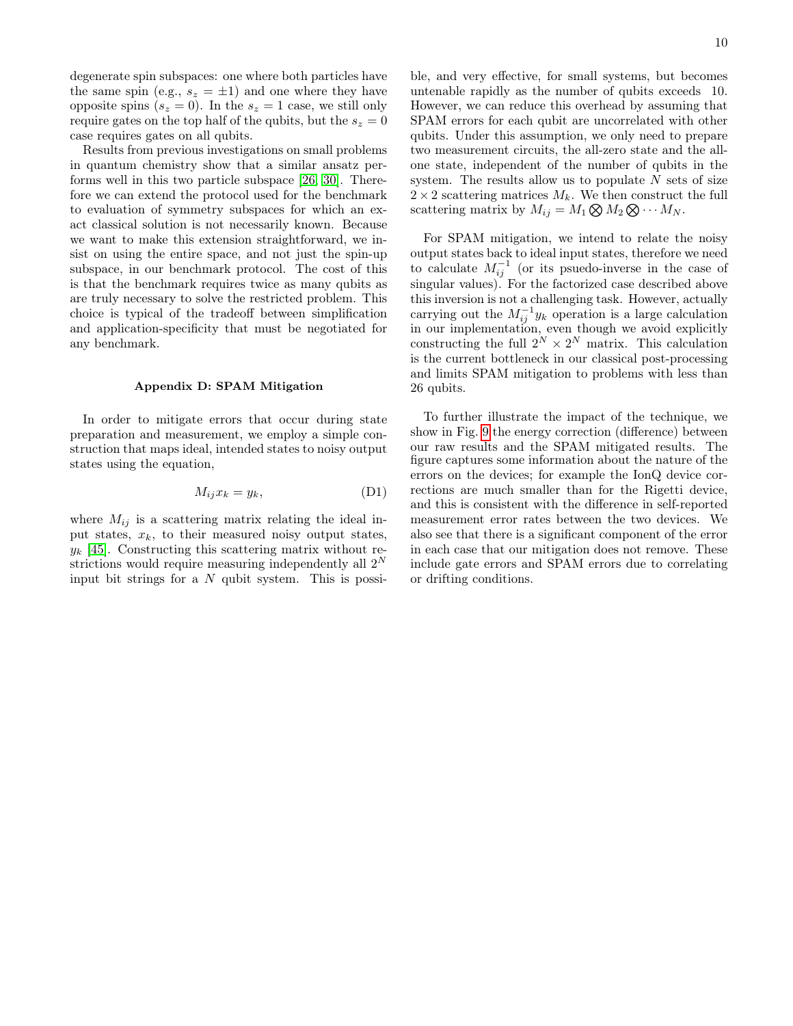degenerate spin subspaces: one where both particles have the same spin (e.g.,  $s_z = \pm 1$ ) and one where they have opposite spins  $(s_z = 0)$ . In the  $s_z = 1$  case, we still only require gates on the top half of the qubits, but the  $s_z = 0$ case requires gates on all qubits.

Results from previous investigations on small problems in quantum chemistry show that a similar ansatz performs well in this two particle subspace [\[26,](#page-7-1) [30\]](#page-7-18). Therefore we can extend the protocol used for the benchmark to evaluation of symmetry subspaces for which an exact classical solution is not necessarily known. Because we want to make this extension straightforward, we insist on using the entire space, and not just the spin-up subspace, in our benchmark protocol. The cost of this is that the benchmark requires twice as many qubits as are truly necessary to solve the restricted problem. This choice is typical of the tradeoff between simplification and application-specificity that must be negotiated for any benchmark.

### <span id="page-9-0"></span>Appendix D: SPAM Mitigation

In order to mitigate errors that occur during state preparation and measurement, we employ a simple construction that maps ideal, intended states to noisy output states using the equation,

$$
M_{ij}x_k = y_k, \t\t(D1)
$$

where  $M_{ij}$  is a scattering matrix relating the ideal input states,  $x_k$ , to their measured noisy output states,  $y_k$  [\[45\]](#page-7-19). Constructing this scattering matrix without restrictions would require measuring independently all  $2^N$ input bit strings for a N qubit system. This is possible, and very effective, for small systems, but becomes untenable rapidly as the number of qubits exceeds 10. However, we can reduce this overhead by assuming that SPAM errors for each qubit are uncorrelated with other qubits. Under this assumption, we only need to prepare two measurement circuits, the all-zero state and the allone state, independent of the number of qubits in the system. The results allow us to populate  $N$  sets of size  $2 \times 2$  scattering matrices  $M_k$ . We then construct the full scattering matrix by  $M_{ij} = M_1 \bigotimes M_2 \bigotimes \cdots M_N$ .

For SPAM mitigation, we intend to relate the noisy output states back to ideal input states, therefore we need to calculate  $M_{ij}^{-1}$  (or its psuedo-inverse in the case of singular values). For the factorized case described above this inversion is not a challenging task. However, actually carrying out the  $M_{ij}^{-1}y_k$  operation is a large calculation in our implementation, even though we avoid explicitly constructing the full  $2^N \times 2^N$  matrix. This calculation is the current bottleneck in our classical post-processing and limits SPAM mitigation to problems with less than 26 qubits.

To further illustrate the impact of the technique, we show in Fig. [9](#page-10-0) the energy correction (difference) between our raw results and the SPAM mitigated results. The figure captures some information about the nature of the errors on the devices; for example the IonQ device corrections are much smaller than for the Rigetti device, and this is consistent with the difference in self-reported measurement error rates between the two devices. We also see that there is a significant component of the error in each case that our mitigation does not remove. These include gate errors and SPAM errors due to correlating or drifting conditions.